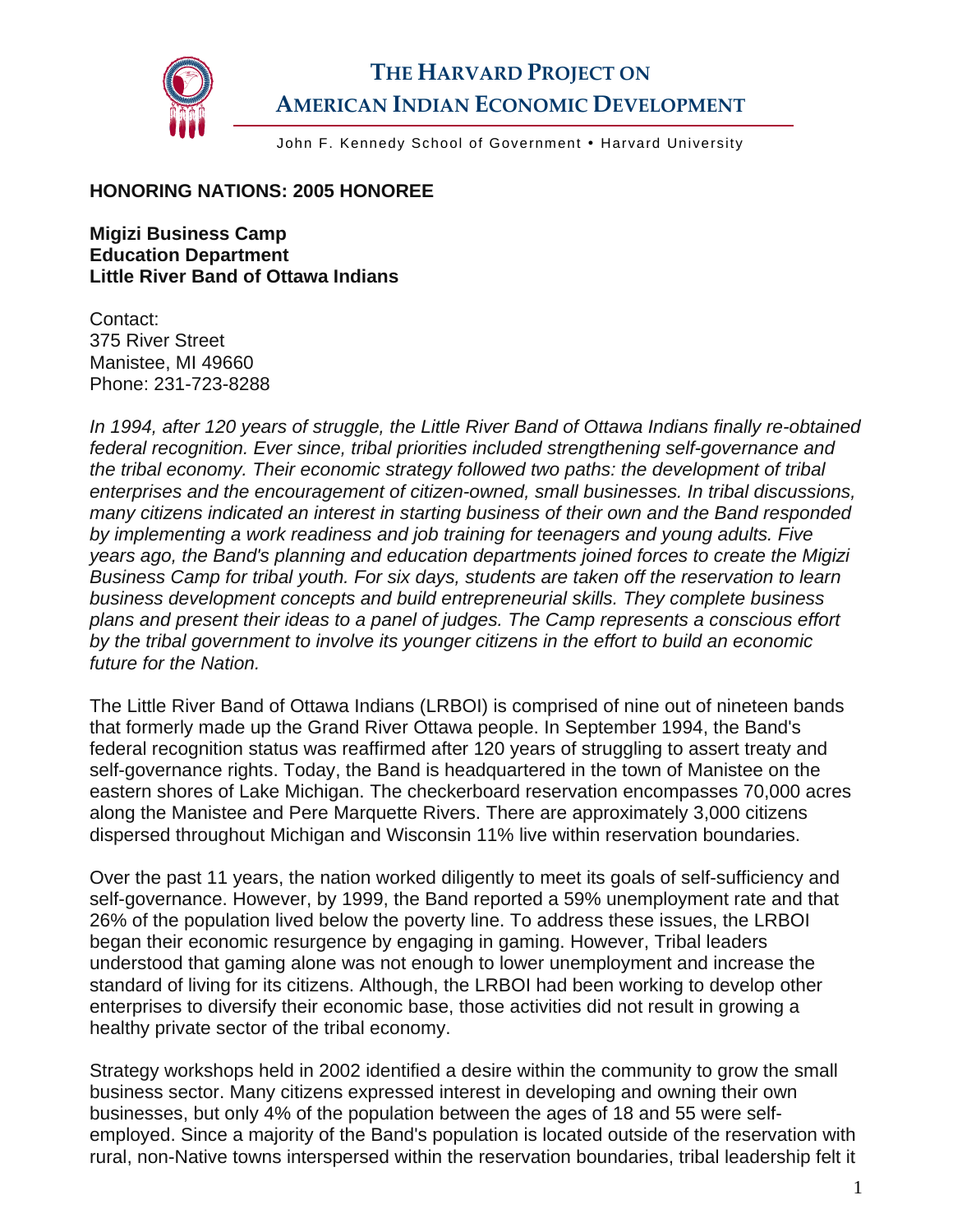

## **THE HARVARD PROJECT ON AMERICAN INDIAN ECONOMIC DEVELOPMENT**

John F. Kennedy School of Government . Harvard University

## **HONORING NATIONS: 2005 HONOREE**

**Migizi Business Camp Education Department Little River Band of Ottawa Indians** 

Contact: 375 River Street Manistee, MI 49660 Phone: 231-723-8288

*In 1994, after 120 years of struggle, the Little River Band of Ottawa Indians finally re-obtained federal recognition. Ever since, tribal priorities included strengthening self-governance and the tribal economy. Their economic strategy followed two paths: the development of tribal enterprises and the encouragement of citizen-owned, small businesses. In tribal discussions, many citizens indicated an interest in starting business of their own and the Band responded by implementing a work readiness and job training for teenagers and young adults. Five years ago, the Band's planning and education departments joined forces to create the Migizi Business Camp for tribal youth. For six days, students are taken off the reservation to learn business development concepts and build entrepreneurial skills. They complete business plans and present their ideas to a panel of judges. The Camp represents a conscious effort by the tribal government to involve its younger citizens in the effort to build an economic future for the Nation.* 

The Little River Band of Ottawa Indians (LRBOI) is comprised of nine out of nineteen bands that formerly made up the Grand River Ottawa people. In September 1994, the Band's federal recognition status was reaffirmed after 120 years of struggling to assert treaty and self-governance rights. Today, the Band is headquartered in the town of Manistee on the eastern shores of Lake Michigan. The checkerboard reservation encompasses 70,000 acres along the Manistee and Pere Marquette Rivers. There are approximately 3,000 citizens dispersed throughout Michigan and Wisconsin 11% live within reservation boundaries.

Over the past 11 years, the nation worked diligently to meet its goals of self-sufficiency and self-governance. However, by 1999, the Band reported a 59% unemployment rate and that 26% of the population lived below the poverty line. To address these issues, the LRBOI began their economic resurgence by engaging in gaming. However, Tribal leaders understood that gaming alone was not enough to lower unemployment and increase the standard of living for its citizens. Although, the LRBOI had been working to develop other enterprises to diversify their economic base, those activities did not result in growing a healthy private sector of the tribal economy.

Strategy workshops held in 2002 identified a desire within the community to grow the small business sector. Many citizens expressed interest in developing and owning their own businesses, but only 4% of the population between the ages of 18 and 55 were selfemployed. Since a majority of the Band's population is located outside of the reservation with rural, non-Native towns interspersed within the reservation boundaries, tribal leadership felt it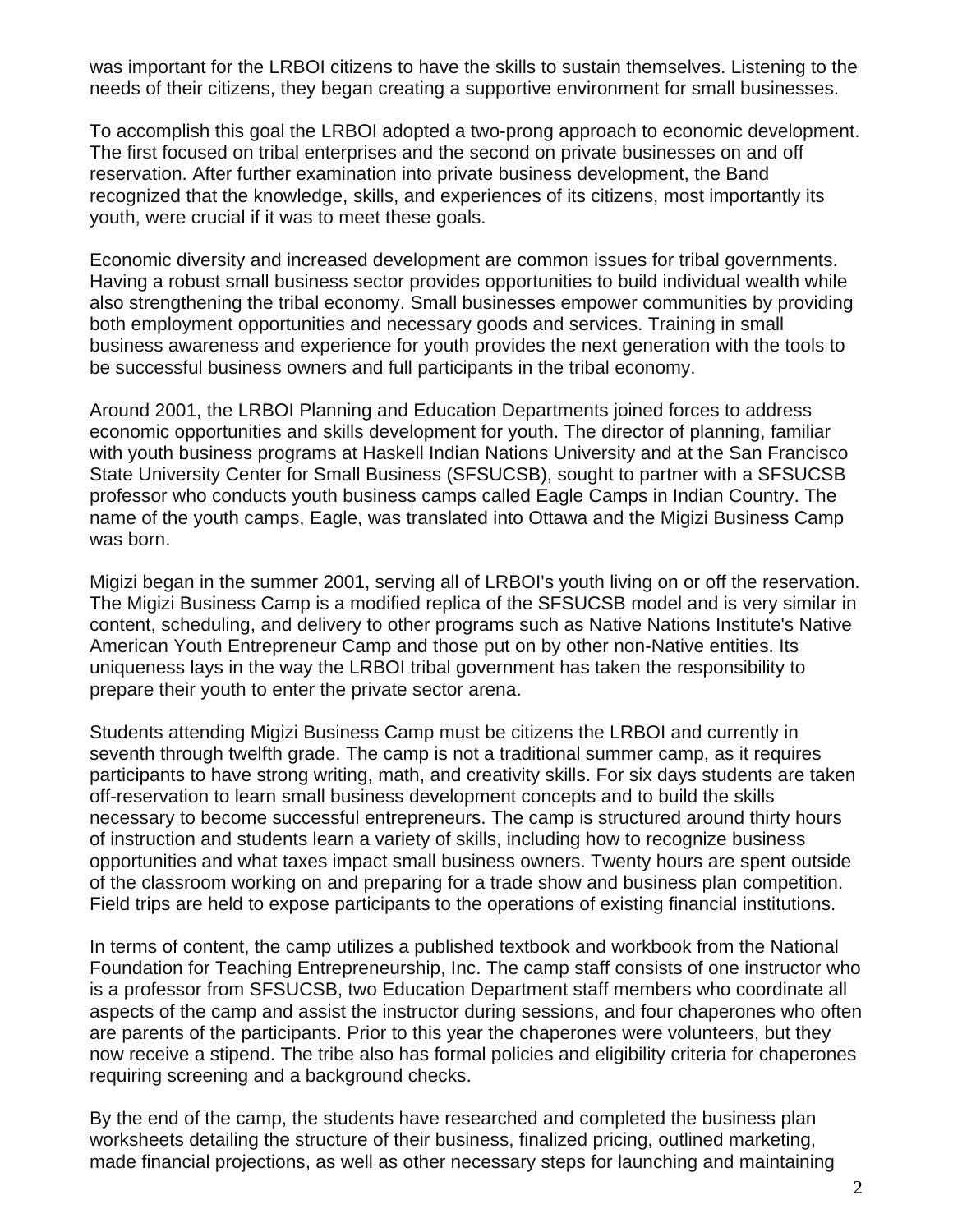was important for the LRBOI citizens to have the skills to sustain themselves. Listening to the needs of their citizens, they began creating a supportive environment for small businesses.

To accomplish this goal the LRBOI adopted a two-prong approach to economic development. The first focused on tribal enterprises and the second on private businesses on and off reservation. After further examination into private business development, the Band recognized that the knowledge, skills, and experiences of its citizens, most importantly its youth, were crucial if it was to meet these goals.

Economic diversity and increased development are common issues for tribal governments. Having a robust small business sector provides opportunities to build individual wealth while also strengthening the tribal economy. Small businesses empower communities by providing both employment opportunities and necessary goods and services. Training in small business awareness and experience for youth provides the next generation with the tools to be successful business owners and full participants in the tribal economy.

Around 2001, the LRBOI Planning and Education Departments joined forces to address economic opportunities and skills development for youth. The director of planning, familiar with youth business programs at Haskell Indian Nations University and at the San Francisco State University Center for Small Business (SFSUCSB), sought to partner with a SFSUCSB professor who conducts youth business camps called Eagle Camps in Indian Country. The name of the youth camps, Eagle, was translated into Ottawa and the Migizi Business Camp was born.

Migizi began in the summer 2001, serving all of LRBOI's youth living on or off the reservation. The Migizi Business Camp is a modified replica of the SFSUCSB model and is very similar in content, scheduling, and delivery to other programs such as Native Nations Institute's Native American Youth Entrepreneur Camp and those put on by other non-Native entities. Its uniqueness lays in the way the LRBOI tribal government has taken the responsibility to prepare their youth to enter the private sector arena.

Students attending Migizi Business Camp must be citizens the LRBOI and currently in seventh through twelfth grade. The camp is not a traditional summer camp, as it requires participants to have strong writing, math, and creativity skills. For six days students are taken off-reservation to learn small business development concepts and to build the skills necessary to become successful entrepreneurs. The camp is structured around thirty hours of instruction and students learn a variety of skills, including how to recognize business opportunities and what taxes impact small business owners. Twenty hours are spent outside of the classroom working on and preparing for a trade show and business plan competition. Field trips are held to expose participants to the operations of existing financial institutions.

In terms of content, the camp utilizes a published textbook and workbook from the National Foundation for Teaching Entrepreneurship, Inc. The camp staff consists of one instructor who is a professor from SFSUCSB, two Education Department staff members who coordinate all aspects of the camp and assist the instructor during sessions, and four chaperones who often are parents of the participants. Prior to this year the chaperones were volunteers, but they now receive a stipend. The tribe also has formal policies and eligibility criteria for chaperones requiring screening and a background checks.

By the end of the camp, the students have researched and completed the business plan worksheets detailing the structure of their business, finalized pricing, outlined marketing, made financial projections, as well as other necessary steps for launching and maintaining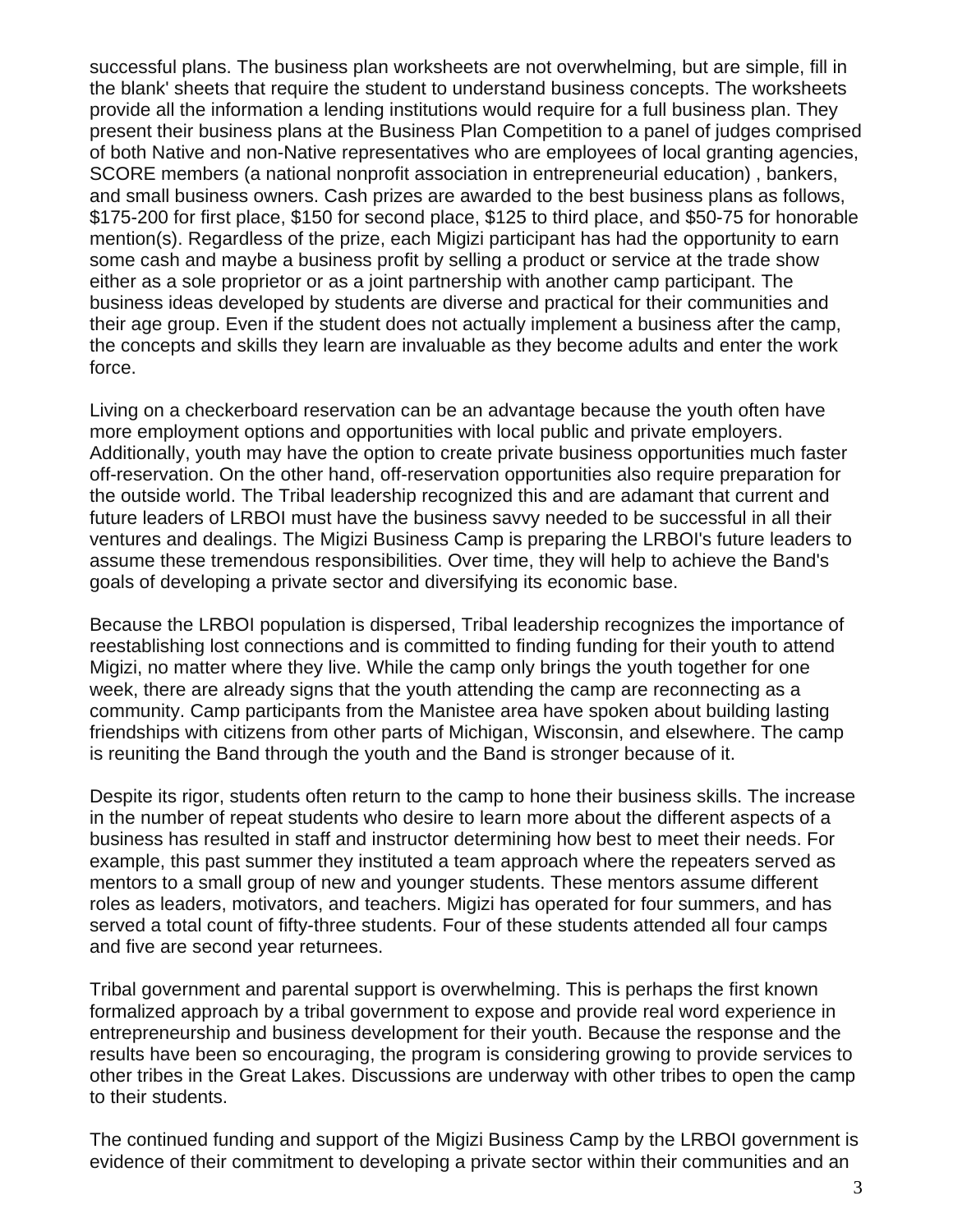successful plans. The business plan worksheets are not overwhelming, but are simple, fill in the blank' sheets that require the student to understand business concepts. The worksheets provide all the information a lending institutions would require for a full business plan. They present their business plans at the Business Plan Competition to a panel of judges comprised of both Native and non-Native representatives who are employees of local granting agencies, SCORE members (a national nonprofit association in entrepreneurial education) , bankers, and small business owners. Cash prizes are awarded to the best business plans as follows, \$175-200 for first place, \$150 for second place, \$125 to third place, and \$50-75 for honorable mention(s). Regardless of the prize, each Migizi participant has had the opportunity to earn some cash and maybe a business profit by selling a product or service at the trade show either as a sole proprietor or as a joint partnership with another camp participant. The business ideas developed by students are diverse and practical for their communities and their age group. Even if the student does not actually implement a business after the camp, the concepts and skills they learn are invaluable as they become adults and enter the work force.

Living on a checkerboard reservation can be an advantage because the youth often have more employment options and opportunities with local public and private employers. Additionally, youth may have the option to create private business opportunities much faster off-reservation. On the other hand, off-reservation opportunities also require preparation for the outside world. The Tribal leadership recognized this and are adamant that current and future leaders of LRBOI must have the business savvy needed to be successful in all their ventures and dealings. The Migizi Business Camp is preparing the LRBOI's future leaders to assume these tremendous responsibilities. Over time, they will help to achieve the Band's goals of developing a private sector and diversifying its economic base.

Because the LRBOI population is dispersed, Tribal leadership recognizes the importance of reestablishing lost connections and is committed to finding funding for their youth to attend Migizi, no matter where they live. While the camp only brings the youth together for one week, there are already signs that the youth attending the camp are reconnecting as a community. Camp participants from the Manistee area have spoken about building lasting friendships with citizens from other parts of Michigan, Wisconsin, and elsewhere. The camp is reuniting the Band through the youth and the Band is stronger because of it.

Despite its rigor, students often return to the camp to hone their business skills. The increase in the number of repeat students who desire to learn more about the different aspects of a business has resulted in staff and instructor determining how best to meet their needs. For example, this past summer they instituted a team approach where the repeaters served as mentors to a small group of new and younger students. These mentors assume different roles as leaders, motivators, and teachers. Migizi has operated for four summers, and has served a total count of fifty-three students. Four of these students attended all four camps and five are second year returnees.

Tribal government and parental support is overwhelming. This is perhaps the first known formalized approach by a tribal government to expose and provide real word experience in entrepreneurship and business development for their youth. Because the response and the results have been so encouraging, the program is considering growing to provide services to other tribes in the Great Lakes. Discussions are underway with other tribes to open the camp to their students.

The continued funding and support of the Migizi Business Camp by the LRBOI government is evidence of their commitment to developing a private sector within their communities and an